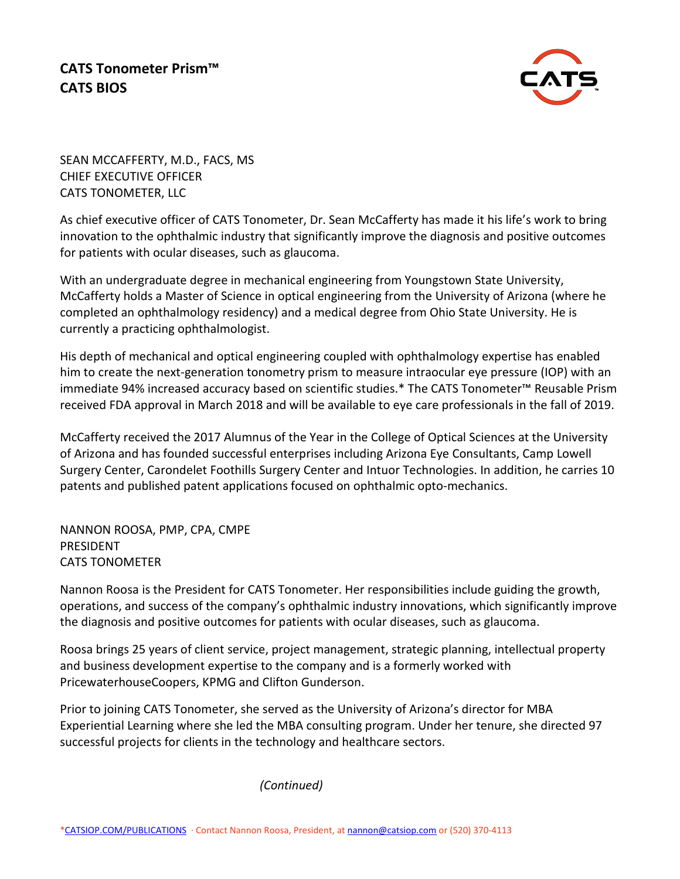## **CATS Tonometer Prism™ CATS BIOS**



SEAN MCCAFFERTY, M.D., FACS, MS CHIEF EXECUTIVE OFFICER CATS TONOMETER, LLC

As chief executive officer of CATS Tonometer, Dr. Sean McCafferty has made it his life's work to bring innovation to the ophthalmic industry that significantly improve the diagnosis and positive outcomes for patients with ocular diseases, such as glaucoma.

With an undergraduate degree in mechanical engineering from Youngstown State University, McCafferty holds a Master of Science in optical engineering from the University of Arizona (where he completed an ophthalmology residency) and a medical degree from Ohio State University. He is currently a practicing ophthalmologist.

His depth of mechanical and optical engineering coupled with ophthalmology expertise has enabled him to create the next-generation tonometry prism to measure intraocular eye pressure (IOP) with an immediate 94% increased accuracy based on scientific studies.\* The CATS Tonometer™ Reusable Prism received FDA approval in March 2018 and will be available to eye care professionals in the fall of 2019.

McCafferty received the 2017 Alumnus of the Year in the College of Optical Sciences at the University of Arizona and has founded successful enterprises including Arizona Eye Consultants, Camp Lowell Surgery Center, Carondelet Foothills Surgery Center and Intuor Technologies. In addition, he carries 10 patents and published patent applications focused on ophthalmic opto-mechanics.

NANNON ROOSA, PMP, CPA, CMPE PRESIDENT CATS TONOMETER

Nannon Roosa is the President for CATS Tonometer. Her responsibilities include guiding the growth, operations, and success of the company's ophthalmic industry innovations, which significantly improve the diagnosis and positive outcomes for patients with ocular diseases, such as glaucoma.

Roosa brings 25 years of client service, project management, strategic planning, intellectual property and business development expertise to the company and is a formerly worked with PricewaterhouseCoopers, KPMG and Clifton Gunderson.

Prior to joining CATS Tonometer, she served as the University of Arizona's director for MBA Experiential Learning where she led the MBA consulting program. Under her tenure, she directed 97 successful projects for clients in the technology and healthcare sectors.

*(Continued)*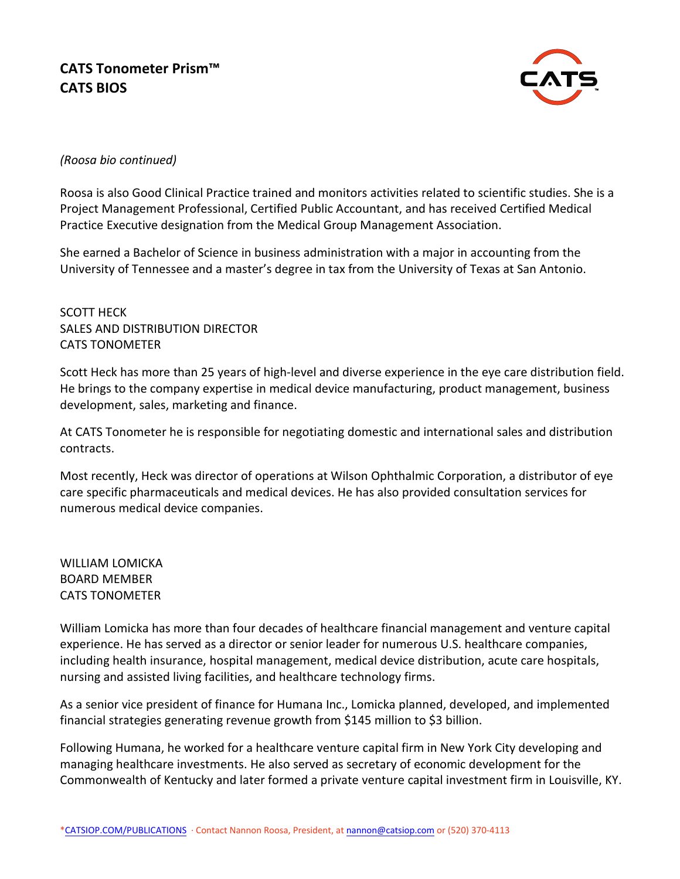

## *(Roosa bio continued)*

Roosa is also Good Clinical Practice trained and monitors activities related to scientific studies. She is a Project Management Professional, Certified Public Accountant, and has received Certified Medical Practice Executive designation from the Medical Group Management Association.

She earned a Bachelor of Science in business administration with a major in accounting from the University of Tennessee and a master's degree in tax from the University of Texas at San Antonio.

SCOTT HECK SALES AND DISTRIBUTION DIRECTOR CATS TONOMETER

Scott Heck has more than 25 years of high-level and diverse experience in the eye care distribution field. He brings to the company expertise in medical device manufacturing, product management, business development, sales, marketing and finance.

At CATS Tonometer he is responsible for negotiating domestic and international sales and distribution contracts.

Most recently, Heck was director of operations at Wilson Ophthalmic Corporation, a distributor of eye care specific pharmaceuticals and medical devices. He has also provided consultation services for numerous medical device companies.

WILLIAM LOMICKA BOARD MEMBER CATS TONOMETER

William Lomicka has more than four decades of healthcare financial management and venture capital experience. He has served as a director or senior leader for numerous U.S. healthcare companies, including health insurance, hospital management, medical device distribution, acute care hospitals, nursing and assisted living facilities, and healthcare technology firms.

As a senior vice president of finance for Humana Inc., Lomicka planned, developed, and implemented financial strategies generating revenue growth from \$145 million to \$3 billion.

Following Humana, he worked for a healthcare venture capital firm in New York City developing and managing healthcare investments. He also served as secretary of economic development for the Commonwealth of Kentucky and later formed a private venture capital investment firm in Louisville, KY.